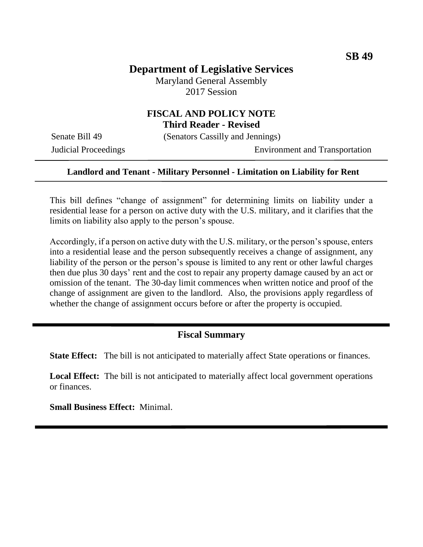# **Department of Legislative Services**

Maryland General Assembly 2017 Session

### **FISCAL AND POLICY NOTE Third Reader - Revised**

Senate Bill 49 (Senators Cassilly and Jennings)

Judicial Proceedings Environment and Transportation

#### **Landlord and Tenant - Military Personnel - Limitation on Liability for Rent**

This bill defines "change of assignment" for determining limits on liability under a residential lease for a person on active duty with the U.S. military, and it clarifies that the limits on liability also apply to the person's spouse.

Accordingly, if a person on active duty with the U.S. military, or the person's spouse, enters into a residential lease and the person subsequently receives a change of assignment, any liability of the person or the person's spouse is limited to any rent or other lawful charges then due plus 30 days' rent and the cost to repair any property damage caused by an act or omission of the tenant. The 30-day limit commences when written notice and proof of the change of assignment are given to the landlord. Also, the provisions apply regardless of whether the change of assignment occurs before or after the property is occupied.

#### **Fiscal Summary**

**State Effect:** The bill is not anticipated to materially affect State operations or finances.

**Local Effect:** The bill is not anticipated to materially affect local government operations or finances.

**Small Business Effect:** Minimal.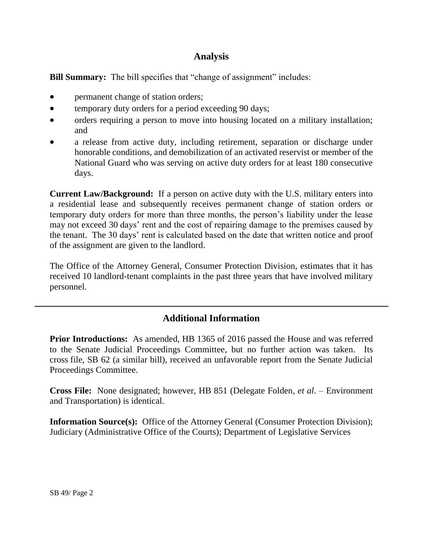## **Analysis**

**Bill Summary:** The bill specifies that "change of assignment" includes:

- permanent change of station orders;
- temporary duty orders for a period exceeding 90 days;
- orders requiring a person to move into housing located on a military installation; and
- a release from active duty, including retirement, separation or discharge under honorable conditions, and demobilization of an activated reservist or member of the National Guard who was serving on active duty orders for at least 180 consecutive days.

**Current Law/Background:** If a person on active duty with the U.S. military enters into a residential lease and subsequently receives permanent change of station orders or temporary duty orders for more than three months, the person's liability under the lease may not exceed 30 days' rent and the cost of repairing damage to the premises caused by the tenant. The 30 days' rent is calculated based on the date that written notice and proof of the assignment are given to the landlord.

The Office of the Attorney General, Consumer Protection Division, estimates that it has received 10 landlord-tenant complaints in the past three years that have involved military personnel.

## **Additional Information**

**Prior Introductions:** As amended, HB 1365 of 2016 passed the House and was referred to the Senate Judicial Proceedings Committee, but no further action was taken. Its cross file, SB 62 (a similar bill), received an unfavorable report from the Senate Judicial Proceedings Committee.

**Cross File:** None designated; however, HB 851 (Delegate Folden, *et al*. – Environment and Transportation) is identical.

**Information Source(s):** Office of the Attorney General (Consumer Protection Division); Judiciary (Administrative Office of the Courts); Department of Legislative Services